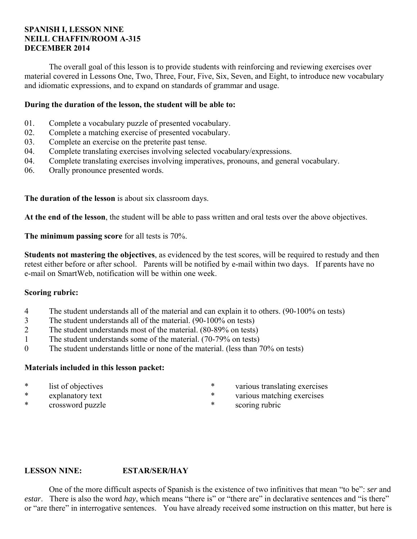#### **SPANISH I, LESSON NINE NEILL CHAFFIN/ROOM A-315 DECEMBER 2014**

 The overall goal of this lesson is to provide students with reinforcing and reviewing exercises over material covered in Lessons One, Two, Three, Four, Five, Six, Seven, and Eight, to introduce new vocabulary and idiomatic expressions, and to expand on standards of grammar and usage.

#### **During the duration of the lesson, the student will be able to:**

- 01. Complete a vocabulary puzzle of presented vocabulary.
- 02. Complete a matching exercise of presented vocabulary.
- 03. Complete an exercise on the preterite past tense.
- 04. Complete translating exercises involving selected vocabulary/expressions.
- 04. Complete translating exercises involving imperatives, pronouns, and general vocabulary.
- 06. Orally pronounce presented words.

**The duration of the lesson** is about six classroom days.

**At the end of the lesson**, the student will be able to pass written and oral tests over the above objectives.

**The minimum passing score** for all tests is 70%.

**Students not mastering the objectives**, as evidenced by the test scores, will be required to restudy and then retest either before or after school. Parents will be notified by e-mail within two days. If parents have no e-mail on SmartWeb, notification will be within one week.

#### **Scoring rubric:**

- 4 The student understands all of the material and can explain it to others. (90-100% on tests)
- 3 The student understands all of the material. (90-100% on tests)
- 2 The student understands most of the material. (80-89% on tests)
- 1 The student understands some of the material. (70-79% on tests)
- 0 The student understands little or none of the material. (less than 70% on tests)

#### **Materials included in this lesson packet:**

- \* list of objectives
- \* explanatory text
- \* crossword puzzle
- \* various translating exercises
- \* various matching exercises
- \* scoring rubric

#### **LESSON NINE: ESTAR/SER/HAY**

 One of the more difficult aspects of Spanish is the existence of two infinitives that mean "to be": *ser* and *estar*. There is also the word *hay*, which means "there is" or "there are" in declarative sentences and "is there" or "are there" in interrogative sentences. You have already received some instruction on this matter, but here is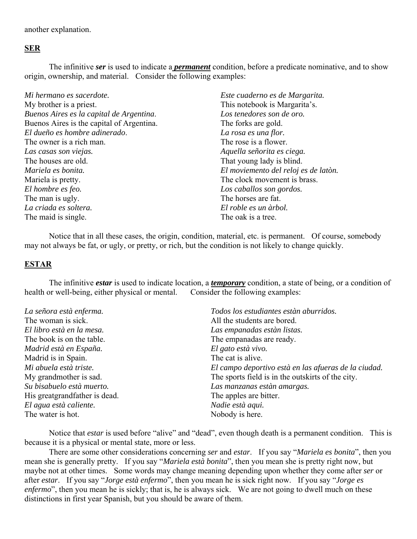another explanation.

#### **SER**

 The infinitive *ser* is used to indicate a *permanent* condition, before a predicate nominative, and to show origin, ownership, and material. Consider the following examples:

| Este cuaderno es de Margarita.       |
|--------------------------------------|
| This notebook is Margarita's.        |
| Los tenedores son de oro.            |
| The forks are gold.                  |
| La rosa es una flor.                 |
| The rose is a flower.                |
| Aquella señorita es ciega.           |
| That young lady is blind.            |
| El moviemento del reloj es de latòn. |
| The clock movement is brass.         |
| Los caballos son gordos.             |
| The horses are fat.                  |
| El roble es un àrbol.                |
| The oak is a tree.                   |
|                                      |

 Notice that in all these cases, the origin, condition, material, etc. is permanent. Of course, somebody may not always be fat, or ugly, or pretty, or rich, but the condition is not likely to change quickly.

#### **ESTAR**

 The infinitive *estar* is used to indicate location, a *temporary* condition, a state of being, or a condition of health or well-being, either physical or mental. Consider the following examples:

| La señora està enferma.       | Todos los estudiantes estàn aburridos.               |
|-------------------------------|------------------------------------------------------|
| The woman is sick.            | All the students are bored.                          |
| El libro està en la mesa.     | Las empanadas estàn listas.                          |
| The book is on the table.     | The empanadas are ready.                             |
| Madrid està en España.        | El gato està vivo.                                   |
| Madrid is in Spain.           | The cat is alive.                                    |
| Mi abuela està triste.        | El campo deportivo està en las afueras de la ciudad. |
| My grandmother is sad.        | The sports field is in the outskirts of the city.    |
| Su bisabuelo està muerto.     | Las manzanas estàn amargas.                          |
| His greatgrandfather is dead. | The apples are bitter.                               |
| El agua està caliente.        | Nadie està aqui.                                     |
| The water is hot.             | Nobody is here.                                      |

 Notice that *estar* is used before "alive" and "dead", even though death is a permanent condition. This is because it is a physical or mental state, more or less.

 There are some other considerations concerning *ser* and *estar*. If you say "*Mariela es bonita*", then you mean she is generally pretty. If you say "*Mariela està bonita*", then you mean she is pretty right now, but maybe not at other times. Some words may change meaning depending upon whether they come after *ser* or after *estar*. If you say "*Jorge està enfermo*", then you mean he is sick right now. If you say "*Jorge es enfermo*", then you mean he is sickly; that is, he is always sick. We are not going to dwell much on these distinctions in first year Spanish, but you should be aware of them.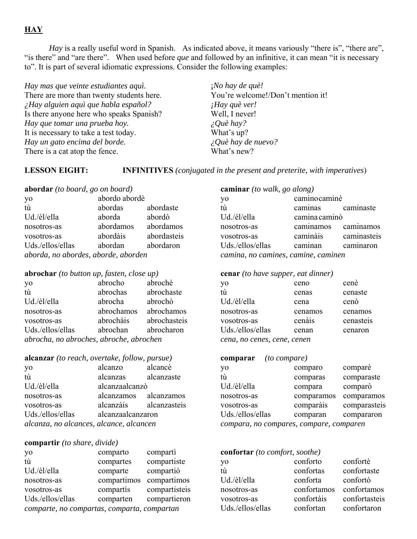## **HAY**

*Hay* is a really useful word in Spanish. As indicated above, it means variously "there is", "there are", "is there" and "are there". When used before *que* and followed by an infinitive, it can mean "it is necessary to". It is part of several idiomatic expressions. Consider the following examples:

*Hay mas que veinte estudiantes aquì.* There are more than twenty students here. *¿Hay alguien aquì que habla español?* Is there anyone here who speaks Spanish? *Hay que tomar una prueba hoy.* It is necessary to take a test today. *Hay un gato encima del borde.* There is a cat atop the fence.

¡*No hay de què!* You're welcome!/Don't mention it! *¡Hay què ver!* Well, I never! *¿Què hay?* What's up? *¿Què hay de nuevo?* What's new?

**LESSON EIGHT: INFINITIVES** *(conjugated in the present and preterite, with imperatives*)

| abordar (to board, go on board)     |               |             |  |
|-------------------------------------|---------------|-------------|--|
| yo                                  | abordo abordè |             |  |
| tù                                  | abordas       | abordaste   |  |
| Ud./èl/ella                         | aborda        | abordò      |  |
| nosotros-as                         | abordamos     | abordamos   |  |
| vosotros-as                         | abordàis      | abordasteis |  |
| Uds./ellos/ellas                    | abordan       | abordaron   |  |
| aborda, no abordes, aborde, aborden |               |             |  |

#### **abrochar** *(to button up, fasten, close up)*

| yo                                      | abrocho    | abrochè      |
|-----------------------------------------|------------|--------------|
| tù                                      | abrochas   | abrochaste   |
| Ud./èl/ella                             | abrocha    | abrochò      |
| nosotros-as                             | abrochamos | abrochamos   |
| vosotros-as                             | abrochàis  | abrochasteis |
| Uds./ellos/ellas                        | abrochan   | abrocharon   |
| abrocha, no abroches, abroche, abrochen |            |              |

#### **alcanzar** *(to reach, overtake, follow, pursue)*

| yo                                      | alcanzo             | alcancè                |
|-----------------------------------------|---------------------|------------------------|
| tù                                      | alcanzas alcanzaste |                        |
| Ud./èl/ella                             | alcanzaalcanzò      |                        |
| nosotros-as                             |                     | alcanzamos alcanzamos  |
| vosotros-as                             |                     | alcanzàis alcanzasteis |
| Uds./ellos/ellas                        | alcanzaalcanzaron   |                        |
| alcanza, no alcances, alcance, alcancen |                     |                        |

#### **compartir** *(to share, divide)*

| yo                                          | comparto    | comparti      |
|---------------------------------------------|-------------|---------------|
| tù                                          | compartes   | compartiste   |
| Ud./èl/ella                                 | comparte    | compartiò     |
| nosotros-as                                 | compartimos | compartimos   |
| vosotros-as                                 | compartis   | compartisteis |
| Uds./ellos/ellas                            | comparten   | compartieron  |
| comparte, no compartas, comparta, compartan |             |               |
|                                             |             |               |

| caminar (to walk, go along)         |                      |           |  |
|-------------------------------------|----------------------|-----------|--|
| yo                                  | caminocaminè         |           |  |
| tù                                  | caminas caminaste    |           |  |
| Ud./èl/ella                         | camina caminò        |           |  |
| nosotros-as                         | caminamos caminamos  |           |  |
| vosotros-as                         | caminàis caminasteis |           |  |
| Uds./ellos/ellas                    | caminan              | caminaron |  |
| camina, no camines, camine, caminen |                      |           |  |

#### **cenar** *(to have supper, eat dinner)*

| yo                          | ceno    | cenè      |
|-----------------------------|---------|-----------|
| tù                          | cenas   | cenaste   |
| Ud./èl/ella                 | cena    | cenò      |
| nosotros-as                 | cenamos | cenamos   |
| vosotros-as                 | cenais  | cenasteis |
| Uds./ellos/ellas            | cenan   | cenaron   |
| cena, no cenes, cene, cenen |         |           |

#### **comparar** *(to compare)*

| yo                                      | comparo    | comparè      |
|-----------------------------------------|------------|--------------|
| tù                                      | comparas   | comparaste   |
| Ud./èl/ella                             | compara    | comparò      |
| nosotros-as                             | comparamos | comparamos   |
| vosotros-as                             | comparàis  | comparasteis |
| Uds./ellos/ellas                        | comparan   | compararon   |
| compara, no compares, compare, comparen |            |              |

| confortar (to comfort, soothe) |             |               |  |
|--------------------------------|-------------|---------------|--|
| yo                             | conforto    | confortè      |  |
| tù                             | confortas   | confortaste   |  |
| Ud./èl/ella                    | conforta    | confortò      |  |
| nosotros-as                    | confortamos | confortamos   |  |
| vosotros-as                    | confortàis  | confortasteis |  |
| Uds./ellos/ellas               | confortan   | confortaron   |  |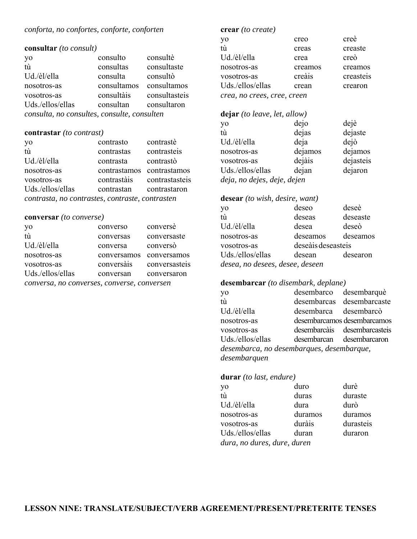# *conforta, no confortes, conforte, conforten*

#### **consultar** *(to consult)*

|                                             | consulto    | consultè      |
|---------------------------------------------|-------------|---------------|
| yo<br>tù                                    | consultas   | consultaste   |
| Ud./èl/ella                                 | consulta    | consultò      |
| nosotros-as                                 | consultamos | consultamos   |
| vosotros-as                                 | consultàis  | consultasteis |
| Uds./ellos/ellas                            | consultan   | consultaron   |
| consulta, no consultes, consulte, consulten |             |               |

## **contrastar** *(to contrast)*

| yo                                              | contrasto                 | contrastè      |
|-------------------------------------------------|---------------------------|----------------|
| tù                                              | contrastas                | contrasteis    |
| Ud./èl/ella                                     | contrasta                 | contrastò      |
| nosotros-as                                     | contrastamos contrastamos |                |
| vosotros-as                                     | contrastàis               | contrastasteis |
| Uds./ellos/ellas                                | contrastan                | contrastaron   |
| contrasta, no contrastes, contraste, contrasten |                           |                |

#### **conversar** *(to converse)*

| yo<br>tù                                    | converso    | conversè      |
|---------------------------------------------|-------------|---------------|
|                                             | conversas   | conversaste   |
| Ud./èl/ella                                 | conversa    | conversò      |
| nosotros-as                                 | conversamos | conversamos   |
| vosotros-as                                 | conversàis  | conversasteis |
| Uds./ellos/ellas                            | conversan   | conversaron   |
| conversa, no converses, converse, conversen |             |               |

#### **crear** *(to create)*

| yo                          | creo    | creè      |
|-----------------------------|---------|-----------|
| tù                          | creas   | creaste   |
| Ud./èl/ella                 | crea    | creò      |
| nosotros-as                 | creamos | creamos   |
| vosotros-as                 | creais  | creasteis |
| Uds./ellos/ellas            | crean   | crearon   |
| crea, no crees, cree, creen |         |           |

#### **dejar** *(to leave, let, allow)*

| yo                          | dejo    | dejè      |
|-----------------------------|---------|-----------|
| tù                          | dejas   | dejaste   |
| Ud./èl/ella                 | deja    | dejò      |
| nosotros-as                 | dejamos | dejamos   |
| vosotros-as                 | dejàis  | dejasteis |
| Uds./ellos/ellas            | dejan   | dejaron   |
| deja, no dejes, deje, dejen |         |           |

#### **desear** *(to wish, desire, want)*

| yo                              | deseo              | deseè    |
|---------------------------------|--------------------|----------|
| tù                              | deseas             | deseaste |
| Ud./èl/ella                     | desea              | deseò    |
| nosotros-as                     | deseamos           | deseamos |
| vosotros-as                     | deseàis deseasteis |          |
| Uds./ellos/ellas                | desean             | desearon |
| desea, no desees, desee, deseen |                    |          |

#### **desembarcar** *(to disembark, deplane)*

| yo                                        | desembarco desembarquè    |                              |
|-------------------------------------------|---------------------------|------------------------------|
| tù                                        |                           | desembarcas desembarcaste    |
| Ud./èl/ella                               | desembarca desembarcò     |                              |
| nosotros-as                               |                           | desembarcamos desembarcamos  |
| vosotros-as                               |                           | desembarcàis desembarcasteis |
| Uds./ellos/ellas                          | desembarcan desembarcaron |                              |
| desembarca, no desembarques, desembarque, |                           |                              |
| desembarquen                              |                           |                              |

#### **durar** *(to last, endure)*

| yo                          | duro    | durè      |
|-----------------------------|---------|-----------|
| tù                          | duras   | duraste   |
| Ud./èl/ella                 | dura    | durò      |
| nosotros-as                 | duramos | duramos   |
| vosotros-as                 | duràis  | durasteis |
| Uds./ellos/ellas            | duran   | duraron   |
| dura, no dures, dure, duren |         |           |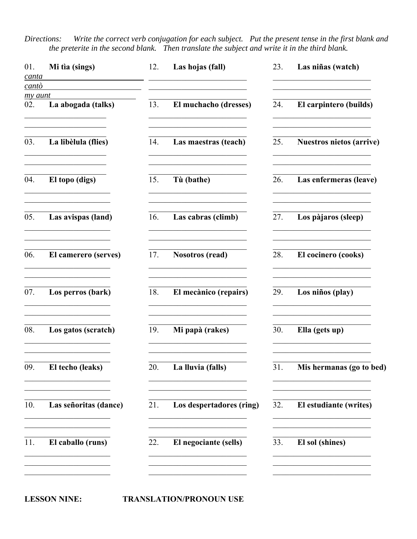Write the correct verb conjugation for each subject. Put the present tense in the first blank and Directions: the preterite in the second blank. Then translate the subject and write it in the third blank.

| 01.<br>canta<br>cantò | Mi tìa (sings)                                                                                                         | 12. | Las hojas (fall)                                                                                                       | 23. | Las niñas (watch)                                                              |
|-----------------------|------------------------------------------------------------------------------------------------------------------------|-----|------------------------------------------------------------------------------------------------------------------------|-----|--------------------------------------------------------------------------------|
| my aunt<br>02.        | La abogada (talks)                                                                                                     | 13. | El muchacho (dresses)                                                                                                  | 24. | El carpintero (builds)                                                         |
| 03.                   | La libèlula (flies)                                                                                                    | 14. | Las maestras (teach)                                                                                                   | 25. | <b>Nuestros nietos (arrive)</b>                                                |
| 04.                   | El topo (digs)                                                                                                         | 15. | Tù (bathe)                                                                                                             | 26. | Las enfermeras (leave)                                                         |
| 05.                   | Las avispas (land)                                                                                                     | 16. | Las cabras (climb)                                                                                                     | 27. | Los pàjaros (sleep)                                                            |
| 06.                   | El camerero (serves)                                                                                                   | 17. | <b>Nosotros (read)</b>                                                                                                 | 28. | El cocinero (cooks)                                                            |
| 07.                   | Los perros (bark)                                                                                                      | 18. | El mecànico (repairs)                                                                                                  | 29. | Los niños (play)                                                               |
| 08.                   | Los gatos (scratch)                                                                                                    | 19. | Mi papà (rakes)                                                                                                        | 30. | Ella (gets up)                                                                 |
| 09.                   | El techo (leaks)                                                                                                       | 20. | La lluvia (falls)                                                                                                      | 31. | Mis hermanas (go to bed)                                                       |
| 10.                   | the control of the control of the control of<br>Las señoritas (dance)                                                  | 21. | the control of the control of the control of the control of<br>Los despertadores (ring)                                | 32. | El estudiante (writes)                                                         |
| 11.                   | <u> 2003 - Johann John Stein, mars an Francisco Barbara (</u><br>El caballo (runs)                                     | 22. | El negociante (sells)                                                                                                  | 33. | <u> 1950 - Johann John Stone, market fransk politiker (</u><br>El sol (shines) |
|                       | <u> 1990 - Johann John Stoff, market fan it ferskearre fan it ferskearre fan it ferskearre fan it ferskearre fan i</u> |     | <u> 1950 - Johann John Stoff, deutscher Stoffen und der Stoffen und der Stoffen und der Stoffen und der Stoffen un</u> |     | <u> 1989 - Johann John Stone, market fransk politiker (</u>                    |

**LESSON NINE:** 

**TRANSLATION/PRONOUN USE**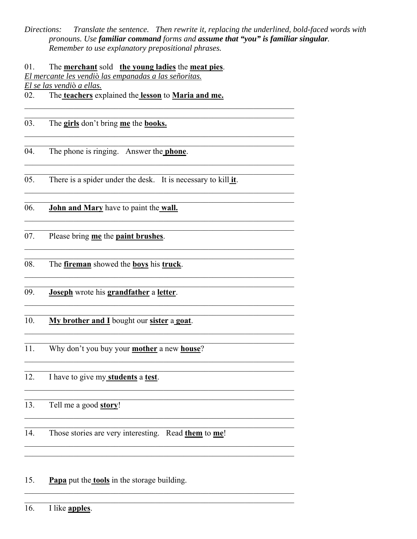Directions: Translate the sentence. Then rewrite it, replacing the underlined, bold-faced words with pronouns. Use familiar command forms and assume that "you" is familiar singular. Remember to use explanatory prepositional phrases.

01. The merchant sold the young ladies the meat pies. El mercante les vendiò las empanadas a las señoritas. El se las vendiò a ellas.

The teachers explained the lesson to Maria and me. 02.

03. The girls don't bring me the books.

The phone is ringing. Answer the **phone**. 04.

 $05.$ There is a spider under the desk. It is necessary to kill it.

 $\overline{06}$ . John and Mary have to paint the wall.

07. Please bring me the paint brushes.

The *fireman* showed the **boys** his *truck*. 08.

09. Joseph wrote his grandfather a letter.

 $10.$ My brother and I bought our sister a goat.

Why don't you buy your mother a new house?  $\overline{11}$ .

 $\overline{12}$ . I have to give my students a test.

13. Tell me a good story!

14. Those stories are very interesting. Read them to me!

<u> 1989 - Johann John Stein, mars an deus Amerikaansk kommunister (</u>

15. Papa put the tools in the storage building.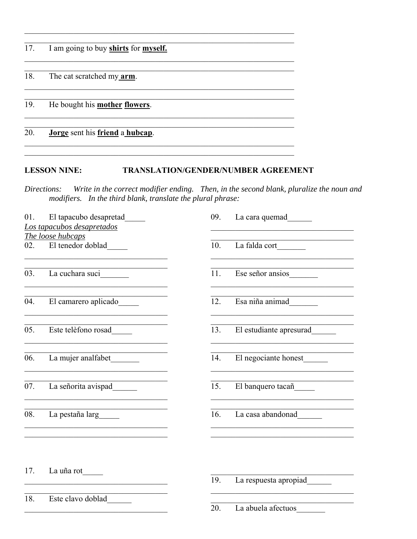| 17. | I am going to buy shirts for myself.   |
|-----|----------------------------------------|
| 18. | The cat scratched my <b>arm</b> .      |
| 19. | He bought his <b>mother flowers</b> .  |
| 20. | <b>Jorge</b> sent his friend a hubcap. |

#### TRANSLATION/GENDER/NUMBER AGREEMENT **LESSON NINE:**

ions: Write in the correct modifier ending. Then, in the second blank, pluralize the noun and modifiers. In the third blank, translate the plural phrase: Directions:

| 01. | El tapacubo desapretad                                                            | 09. | La cara quemad          |
|-----|-----------------------------------------------------------------------------------|-----|-------------------------|
|     | Los tapacubos desapretados                                                        |     |                         |
|     | The loose hubcaps                                                                 |     |                         |
|     | 02. El tenedor doblad                                                             | 10. | La falda cort           |
| 03. | La cuchara suci                                                                   | 11. | Ese señor ansios        |
| 04. | El camarero aplicado                                                              | 12. | Esa niña animad         |
|     |                                                                                   |     |                         |
| 05. | Este telèfono rosad_____                                                          | 13. | El estudiante apresurad |
| 06. | La mujer analfabet_________<br><u> 1989 - Johann Barn, margaret eta idazlea (</u> | 14. | El negociante honest    |
| 07. | La señorita avispad                                                               | 15. | El banquero tacañ       |
| 08. | La pestaña larg                                                                   | 16. | La casa abandonad       |
|     |                                                                                   |     |                         |
| 17. | La uña rot                                                                        | 19. | La respuesta apropiad   |
|     | <u> 1989 - Johann Barbara, martxa alemaniar a</u>                                 |     |                         |
| 18. | Este clavo doblad                                                                 |     |                         |
|     |                                                                                   | 20. | La abuela afectuos      |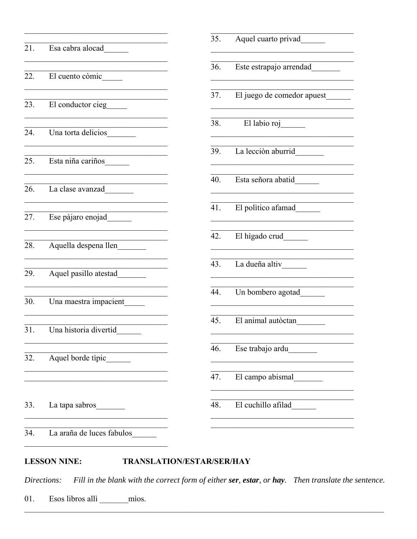|     | 21. Esa cabra alocad                                            | 35  |
|-----|-----------------------------------------------------------------|-----|
|     | 22. El cuento còmic                                             | 36  |
|     | 23. El conductor cieg                                           | 37  |
|     | 24. Una torta delicios                                          | 38  |
|     | 25. Esta niña cariños                                           | 39  |
|     | <u> 1980 - Johann Barbara, martin a</u><br>26. La clase avanzad | 40  |
|     | 27. Ese pàjaro enojad                                           | 41  |
|     | 28. Aquella despena llen                                        | 42  |
|     | 29. Aquel pasillo atestad________                               | 43. |
|     | 30. Una maestra impacient                                       | 44  |
|     | 31. Una historia divertid                                       | 45  |
| 32. | Aquel borde tipic_                                              | 46  |
|     |                                                                 | 47  |
| 33. | La tapa sabros                                                  | 48  |
| 34. | La araña de luces fabulos                                       |     |

# Aquel cuarto privad Este estrapajo arrendad El juego de comedor apuest El labio roj La lección aburrid Esta señora abatid El politico afamad El higado crud La dueña altiv Un bombero agotad El animal autòctan Ese trabajo ardu El campo abismal

#### **LESSON NINE: TRANSLATION/ESTAR/SER/HAY**

Fill in the blank with the correct form of either ser, estar, or hay. Then translate the sentence. Directions:

Esos libros allì \_\_\_\_\_\_ mìos. 01.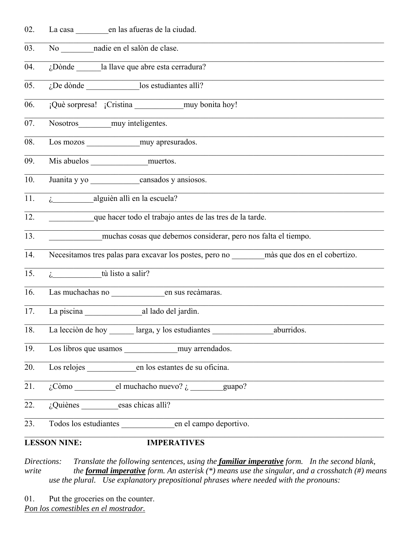| 02. | La casa en las afueras de la ciudad.                                                         |
|-----|----------------------------------------------------------------------------------------------|
| 03. | No nadie en el salòn de clase.                                                               |
| 04. | ¿Dònde la llave que abre esta cerradura?                                                     |
| 05. | $i$ De dònde $\qquad$ los estudiantes alli?                                                  |
| 06. | ¡Què sorpresa! ¡Cristina __________________ muy bonita hoy!                                  |
| 07. | Nosotros muy inteligentes.                                                                   |
| 08. |                                                                                              |
| 09. |                                                                                              |
| 10. | Juanita y yo cansados y ansiosos.                                                            |
| 11. | $\lambda$ alguièn allì en la escuela?                                                        |
| 12. | que hacer todo el trabajo antes de las tres de la tarde.                                     |
| 13. | muchas cosas que debemos considerar, pero nos falta el tiempo.                               |
| 14. | Necesitamos tres palas para excavar los postes, pero no _______ màs que dos en el cobertizo. |
| 15. | $\lambda$ tù listo a salir?                                                                  |
| 16. |                                                                                              |
| 17. | La piscina al lado del jardìn.                                                               |
| 18. | La lección de hoy larga, y los estudiantes aburridos.                                        |
| 19. |                                                                                              |
| 20. |                                                                                              |
| 21. | $\lambda$ Còmo el muchacho nuevo? $\lambda$ guapo?                                           |
| 22. | ¿Quiènes esas chicas alli?                                                                   |
| 23. | Todos los estudiantes en el campo deportivo.                                                 |
|     | <b>LESSON NINE:</b><br><b>IMPERATIVES</b>                                                    |

*Directions: Translate the following sentences, using the familiar imperative form. In the second blank, write* the *formal imperative form. An asterisk (\*) means use the singular, and a crosshatch (#) means*  $\frac{d}{dx}$  *use the plural. Use explanatory prepositional phrases where needed with the pronouns:*

01. Put the groceries on the counter. *Pon los comestibles en el mostrador.*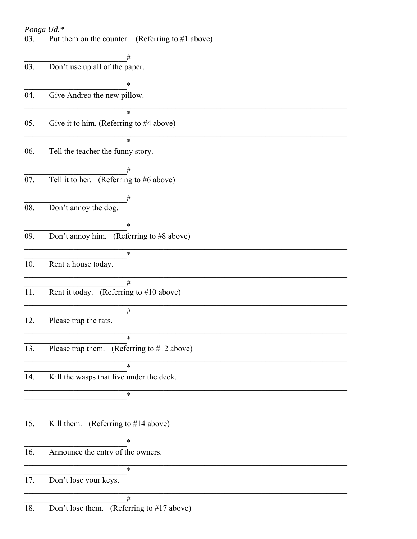<u>Ponga Ud.\*</u><br>03. Put them on the counter. (Referring to #1 above)

| #                                          |
|--------------------------------------------|
| Don't use up all of the paper.             |
|                                            |
| $\ast$                                     |
| Give Andreo the new pillow.                |
| $\ast$                                     |
| Give it to him. (Referring to #4 above)    |
|                                            |
| $\ast$                                     |
| Tell the teacher the funny story.          |
|                                            |
| #                                          |
| Tell it to her. (Referring to $#6$ above)  |
|                                            |
| $\#$                                       |
| Don't annoy the dog.                       |
| $\ast$                                     |
| Don't annoy him. (Referring to #8 above)   |
|                                            |
| *                                          |
| Rent a house today.                        |
|                                            |
| #                                          |
| Rent it today. (Referring to #10 above)    |
|                                            |
| $\#$                                       |
| Please trap the rats.                      |
| $\ast$                                     |
| Please trap them. (Referring to #12 above) |
|                                            |
| $\ast$                                     |
| Kill the wasps that live under the deck.   |
|                                            |
| ∗                                          |
|                                            |
|                                            |
| Kill them. (Referring to $#14$ above)      |
| *                                          |
| Announce the entry of the owners.          |
|                                            |
| *                                          |
| Don't lose your keys.                      |
|                                            |
| #                                          |
| Don't lose them. (Referring to #17 above)  |
|                                            |